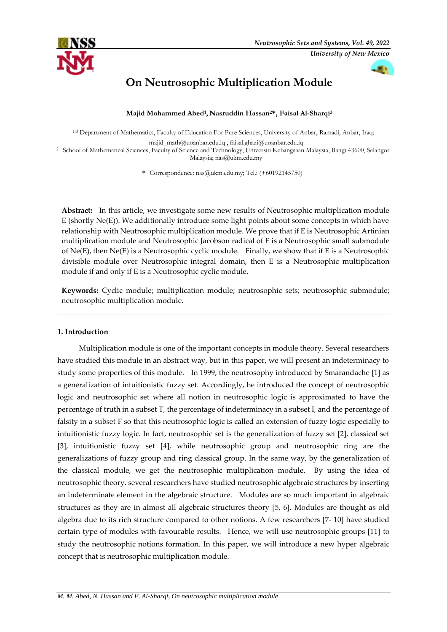



# **On Neutrosophic Multiplication Module**

**Majid Mohammed Abed<sup>1</sup> , Nasruddin Hassan2\*, Faisal Al-Sharqi<sup>3</sup>**

<sup>1,3</sup> Department of Mathematics, Faculty of Education For Pure Sciences, University of Anbar, Ramadi, Anbar, Iraq;

[majid\\_math@uoanbar.edu.iq](mailto:majid_math@uoanbar.edu.iq) , faisal.ghazi@uoanbar.edu.iq

<sup>2</sup> School of Mathematical Sciences, Faculty of Science and Technology, Universiti Kebangsaan Malaysia, Bangi 43600, Selangor Malaysia; [nas@ukm.edu.my](mailto:nas@ukm.edu.my)

**\*** Correspondence: [nas@ukm.edu.my;](mailto:nas@ukm.edu.my) Tel.: (+60192145750)

**Abstract:** In this article, we investigate some new results of Neutrosophic multiplication module E (shortly Ne(E)). We additionally introduce some light points about some concepts in which have relationship with Neutrosophic multiplication module. We prove that if E is Neutrosophic Artinian multiplication module and Neutrosophic Jacobson radical of E is a Neutrosophic small submodule of Ne(E), then Ne(E) is a Neutrosophic cyclic module. Finally, we show that if E is a Neutrosophic divisible module over Neutrosophic integral domain, then E is a Neutrosophic multiplication module if and only if E is a Neutrosophic cyclic module.

**Keywords:** Cyclic module; multiplication module; neutrosophic sets; neutrosophic submodule; neutrosophic multiplication module.

# **1. Introduction**

 Multiplication module is one of the important concepts in module theory. Several researchers have studied this module in an abstract way, but in this paper, we will present an indeterminacy to study some properties of this module. In 1999, the neutrosophy introduced by Smarandache [1] as a generalization of intuitionistic fuzzy set. Accordingly, he introduced the concept of neutrosophic logic and neutrosophic set where all notion in neutrosophic logic is approximated to have the percentage of truth in a subset T, the percentage of indeterminacy in a subset I, and the percentage of falsity in a subset F so that this neutrosophic logic is called an extension of fuzzy logic especially to intuitionistic fuzzy logic. In fact, neutrosophic set is the generalization of fuzzy set [2], classical set [3], intuitionistic fuzzy set [4], while neutrosophic group and neutrosophic ring are the generalizations of fuzzy group and ring classical group. In the same way, by the generalization of the classical module, we get the neutrosophic multiplication module. By using the idea of neutrosophic theory, several researchers have studied neutrosophic algebraic structures by inserting an indeterminate element in the algebraic structure. Modules are so much important in algebraic structures as they are in almost all algebraic structures theory [5, 6]. Modules are thought as old algebra due to its rich structure compared to other notions. A few researchers [7- 10] have studied certain type of modules with favourable results. Hence, we will use neutrosophic groups [11] to study the neutrosophic notions formation. In this paper, we will introduce a new hyper algebraic concept that is neutrosophic multiplication module.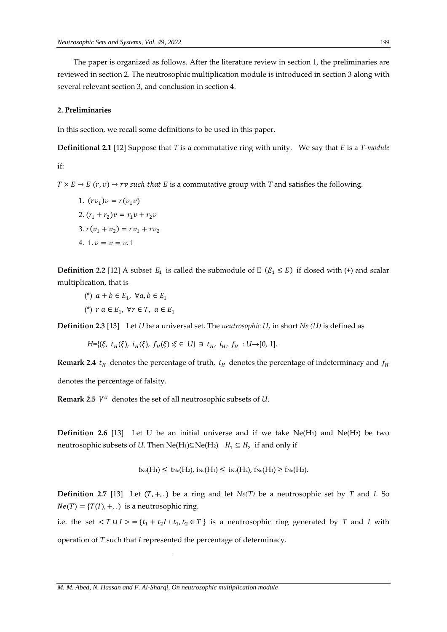The paper is organized as follows. After the literature review in section 1, the preliminaries are reviewed in section 2. The neutrosophic multiplication module is introduced in section 3 along with several relevant section 3, and conclusion in section 4.

## **2. Preliminaries**

In this section, we recall some definitions to be used in this paper.

**Definitional 2.1** [12] Suppose that *T* is a commutative ring with unity. We say that *E* is a *T-module*

if:

 $T \times E \rightarrow E(r, v) \rightarrow rv$  such that *E* is a commutative group with *T* and satisfies the following.

1.  $(rv_1)v = r(v_1v)$ 2.  $(r_1 + r_2)v = r_1v + r_2v$ 3.  $r(v_1 + v_2) = rv_1 + rv_2$ 4.  $1, v = v = v, 1$ 

**Definition 2.2** [12] A subset  $E_1$  is called the submodule of E ( $E_1 \le E$ ) if closed with (+) and scalar multiplication, that is

- (\*)  $a + b \in E_1$ ,  $\forall a, b \in E_1$
- (\*)  $r a \in E_1$ ,  $\forall r \in T$ ,  $a \in E_1$

**Definition 2.3** [13] Let *U* be a universal set. The *neutrosophic U*, in short *Ne (U)* is defined as

*H*={( $\xi$ ,  $t$ <sub>*H*</sub>( $\xi$ ),  $i$ <sub>*H*</sub>( $\xi$ ),  $f$ <sub>*H*</sub>( $\xi$ ) : $\xi$  ∈ *U*} ∋  $t$ <sub>*H*</sub>,  $i$ <sub>*H*</sub>,  $f$ <sub>*H*</sub> : *U*→[0, 1].

**Remark 2.4**  $t_H$  denotes the percentage of truth,  $i_H$  denotes the percentage of indeterminacy and  $f_H$ denotes the percentage of falsity.

**Remark 2.5**  $V^U$  denotes the set of all neutrosophic subsets of  $U$ .

**Definition 2.6** [13] Let U be an initial universe and if we take  $Ne(H_1)$  and  $Ne(H_2)$  be two neutrosophic subsets of *U*. Then  $Ne(H_1)\subseteq Ne(H_2)$   $H_1 \subseteq H_2$  if and only if

$$
t_{\text{Ne}}(H_1) \leq t_{\text{Ne}}(H_2), \, i_{\text{Ne}}(H_1) \leq i_{\text{Ne}}(H_2), \, f_{\text{Ne}}(H_1) \geq f_{\text{Ne}}(H_2).
$$

**Definition 2.7** [13] Let  $(T, +, .$  ) be a ring and let  $Ne(T)$  be a neutrosophic set by *T* and *I*. So  $Ne(T) = {T(I), +, .}$  is a neutrosophic ring.

i.e. the set  $\langle T \cup I \rangle = \{t_1 + t_2 I : t_1, t_2 \in T\}$  is a neutrosophic ring generated by *T* and *I* with operation of *T* such that *I* represented the percentage of determinacy.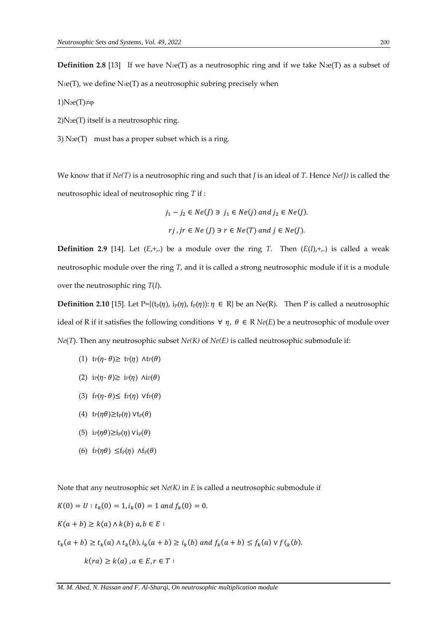**Definition 2.8** [13] If we have N<sub>1</sub>e(T) as a neutrosophic ring and if we take N<sub>2</sub>e(T) as a subset of  $N_1e(T)$ , we define  $N_1e(T)$  as a neutrosophic subring precisely when

1)N2e(T)≠φ

2)N2e(T) itself is a neutrosophic ring.

3)  $N_2e(T)$  must has a proper subset which is a ring.

We know that if  $Ne(T)$  is a neutrosophic ring and such that *J* is an ideal of *T*. Hence  $Ne(J)$  is called the neutrosophic ideal of neutrosophic ring *T* if :

$$
j_1 - j_2 \in Ne(J) \ni j_1 \in Ne(j) \text{ and } j_2 \in Ne(J).
$$
  
*ri*, *jr*  $\in Ne(J) \ni r \in Ne(T) \text{ and } j \in Ne(J).$ 

**Definition 2.9** [14]. Let  $(E, +,.)$  be a module over the ring *T*. Then  $(E(I), +,.)$  is called a weak neutrosophic module over the ring *T*, and it is called a strong neutrosophic module if it is a module over the neutrosophic ring *T*(*I*).

**Definition 2.10** [15]. Let P={ $(t_p(\eta), i_p(\eta), f_p(\eta))$ :  $\eta \in R$ } be an Ne(R). Then P is called a neutrosophic ideal of R if it satisfies the following conditions  $\forall$   $\eta$ ,  $\theta$  ∈ R *Ne*(*E*) be a neutrosophic of module over *Ne*(*T*). Then any neutrosophic subset *Ne(K)* of *Ne(E)* is called neutrosophic submodule if:

- (1)  $tr(\eta \theta) \geq tr(\eta) \wedge tr(\theta)$
- (2) i<sub>P</sub>( $\eta$ - $\theta$ ) $\geq$  i<sub>P</sub>( $\eta$ )  $\text{Air}(\theta)$
- (3) f<sub>P</sub>( $\eta$ - $\theta$ ) $\leq$  f<sub>P</sub>( $\eta$ )  $V$ f<sub>P</sub>( $\theta$ )
- (4)  $tr(\eta \theta) \geq t_p(\eta) \vee t_p(\theta)$
- (5) i<sub>P</sub>( $\eta \theta$ )≥i<sub>p</sub>( $\eta$ ) Vi<sub>p</sub>( $\theta$ )
- (6) f<sub>P</sub>( $\eta \theta$ ) ≤f<sub>p</sub>( $\eta$ )  $\Lambda$ f<sub>p</sub>( $\theta$ )

Note that any neutrosophic set *Ne(K)* in *E* is called a neutrosophic submodule if

$$
K(0) = U : t_k(0) = 1, i_k(0) = 1 \text{ and } f_k(0) = 0.
$$
  

$$
K(a + b) \ge k(a) \land k(b) \text{ a, } b \in E :
$$
  

$$
t_k(a + b) \ge t_k(a) \land t_k(b), i_k(a + b) \ge i_k(b) \text{ and } f_k(a + b) \le f_k(a) \lor f_k(b).
$$
  

$$
k(r a) \ge k(a), a \in E, r \in T :
$$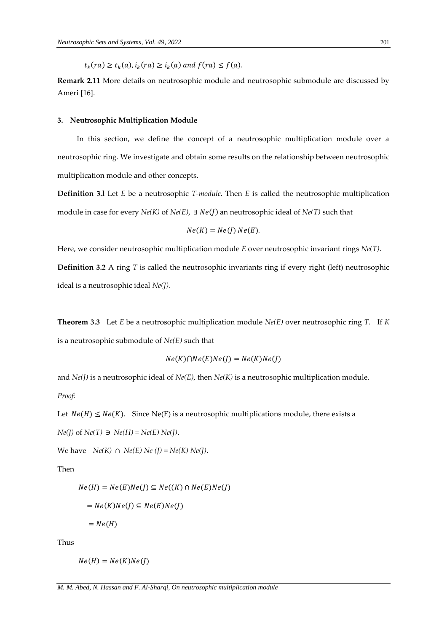$t_k(r a) \ge t_k(a), i_k(r a) \ge i_k(a)$  and  $f(r a) \le f(a)$ .

**Remark 2.11** More details on neutrosophic module and neutrosophic submodule are discussed by Ameri [16].

## **3. Neutrosophic Multiplication Module**

In this section, we define the concept of a neutrosophic multiplication module over a neutrosophic ring. We investigate and obtain some results on the relationship between neutrosophic multiplication module and other concepts.

**Definition 3.l** Let *E* be a neutrosophic *T-module*. Then *E* is called the neutrosophic multiplication module in case for every  $Ne(K)$  of  $Ne(E)$ ,  $\exists$   $Ne(I)$  an neutrosophic ideal of  $Ne(T)$  such that

$$
Ne(K) = Ne(J) Ne(E).
$$

Here, we consider neutrosophic multiplication module *E* over neutrosophic invariant rings *Ne(T)*. **Definition 3.2** A ring *T* is called the neutrosophic invariants ring if every right (left) neutrosophic ideal is a neutrosophic ideal *Ne(J).*

**Theorem 3.3** Let *E* be a neutrosophic multiplication module *Ne(E)* over neutrosophic ring *T*. If *K* is a neutrosophic submodule of *Ne(E)* such that

$$
Ne(K)\cap Ne(E)Ne(J) = Ne(K)Ne(J)
$$

and *Ne(J)* is a neutrosophic ideal of *Ne(E)*, then *Ne(K)* is a neutrosophic multiplication module.

*Proof:* 

Let  $Ne(H) \leq Ne(K)$ . Since Ne(E) is a neutrosophic multiplications module, there exists a

 $Ne(J)$  of  $Ne(T)$  ∋  $Ne(H)$  =  $Ne(E)$   $Ne(J)$ .

*We have Ne(K)* ∩ *Ne(E) Ne(I)* = *Ne(K) Ne(I)*.

Then

$$
Ne(H) = Ne(E)Ne(J) \subseteq Ne((K) \cap Ne(E)Ne(J))
$$
  
= Ne(K)Ne(J) \subseteq Ne(E)Ne(J)  
= Ne(H)

Thus

 $Ne(H) = Ne(K)Ne(J)$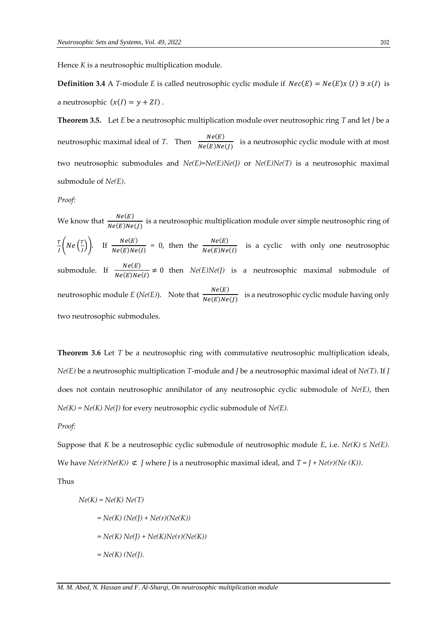Hence *K* is a neutrosophic multiplication module.

**Definition 3.4** A *T*-module *E* is called neutrosophic cyclic module if  $Nec(E) = Ne(E)x(I) \ni x(I)$  is a neutrosophic  $(x(I) = y + ZI)$ .

**Theorem 3.5.** Let *E* be a neutrosophic multiplication module over neutrosophic ring *T* and let *J* be a neutrosophic maximal ideal of *T*. Then  $\frac{Ne(E)}{Ne(E)Ne(J)}$  is a neutrosophic cyclic module with at most two neutrosophic submodules and *Ne(E)*=*Ne(E)Ne(J)* or *Ne(E)Ne(T)* is a neutrosophic maximal submodule of *Ne(E)*.

#### *Proof:*

We know that  $\frac{Ne(E)}{Ne(E)Ne(J)}$  is a neutrosophic multiplication module over simple neutrosophic ring of T  $\frac{T}{J}\bigg($  Ne  $\Big(\frac{T}{J}\Bigg)$  $\binom{T}{J}$ . If  $\frac{Ne(E)}{Ne(E)Ne(I)}$  = 0, then the  $\frac{Ne(E)}{Ne(E)Ne(I)}$  is a cyclic with only one neutrosophic submodule. If  $\frac{Ne(E)}{Ne(E)Ne(I)} \neq 0$  then  $Ne(E)Ne(J)$  is a neutrosophic maximal submodule of neutrosophic module *E* (*Ne*(*E*)). Note that  $\frac{Ne(E)}{Ne(E)Ne(J)}$  is a neutrosophic cyclic module having only two neutrosophic submodules.

**Theorem 3.6** Let *T* be a neutrosophic ring with commutative neutrosophic multiplication ideals, *Ne(E)* be a neutrosophic multiplication *T*-module and *J* be a neutrosophic maximal ideal of *Ne(T)*. If *J*  does not contain neutrosophic annihilator of any neutrosophic cyclic submodule of *Ne(E)*, then *Ne(K)* = *Ne(K) Ne(J)* for every neutrosophic cyclic submodule of *Ne(E).*

## *Proof:*

Suppose that *K* be a neutrosophic cyclic submodule of neutrosophic module *E*, i.e. *Ne(K)* ≤ *Ne(E)*. We have  $Ne(r)(Ne(K)) \nsubseteq J$  where *J* is a neutrosophic maximal ideal, and  $T = J + Ne(r)(Ne(K))$ .

Thus

$$
Ne(K) = Ne(K) Ne(T)
$$
  
= Ne(K) (Ne(J) + Ne(r)(Ne(K))  
= Ne(K) Ne(J) + Ne(K)Ne(r)(Ne(K))  
= Ne(K) (Ne(J).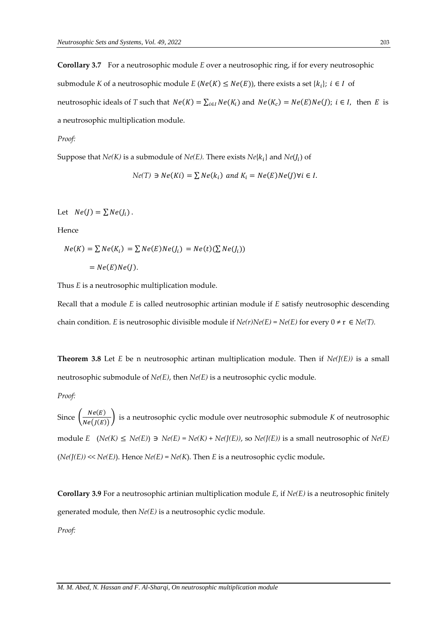**Corollary 3.7** For a neutrosophic module *E* over a neutrosophic ring, if for every neutrosophic submodule K of a neutrosophic module  $E(Ne(K) \leq Ne(E))$ , there exists a set  $\{k_i\}$ ;  $i \in I$  of neutrosophic ideals of *T* such that  $Ne(K) = \sum_{i \in I} Ne(K_i)$  and  $Ne(K_c) = Ne(E)Ne(J)$ ;  $i \in I$ , then *E* is a neutrosophic multiplication module.

#### *Proof:*

Suppose that  $Ne(K)$  is a submodule of  $Ne(E)$ . There exists  $Ne\{k_i\}$  and  $Ne(J_i)$  of

 $Ne(T) \ni Ne(Ki) = \sum Ne(k_i)$  and  $K_i = Ne(E)Ne(J)\forall i \in I$ .

Let  $Ne(I) = \sum Ne(I_i)$ .

Hence

$$
Ne(K) = \sum Ne(K_i) = \sum Ne(E)Ne(J_i) = Ne(t)(\sum Ne(J_i))
$$

$$
= Ne(E)Ne(J).
$$

Thus *E* is a neutrosophic multiplication module.

Recall that a module *E* is called neutrosophic artinian module if *E* satisfy neutrosophic descending chain condition. *E* is neutrosophic divisible module if  $Ne(r)Ne(E) = Ne(E)$  for every  $0 \neq r \in Ne(T)$ .

**Theorem 3.8** Let *E* be n neutrosophic artinan multiplication module. Then if  $Ne(J(E))$  is a small neutrosophic submodule of *Ne(E)*, then *Ne(E)* is a neutrosophic cyclic module.

*Proof:*

Since  $\left(\frac{Ne(E)}{Ne(E)}\right)$  $\left(\frac{N\epsilon(L)}{N\epsilon(J(E))}\right)$  is a neutrosophic cyclic module over neutrosophic submodule *K* of neutrosophic module *E* (*Ne(K)* ≤ *Ne(E)*) ∋ *Ne(E)* = *Ne(K)* + *Ne(J(E))*, so *Ne(J(E))* is a small neutrosophic of *Ne(E)*  $(Ne(J(E)) \ll Ne(E))$ . Hence  $Ne(E) = Ne(K)$ . Then *E* is a neutrosophic cyclic module.

**Corollary 3.9** For a neutrosophic artinian multiplication module *E*, if *Ne(E)* is a neutrosophic finitely generated module, then *Ne(E)* is a neutrosophic cyclic module.

*Proof:*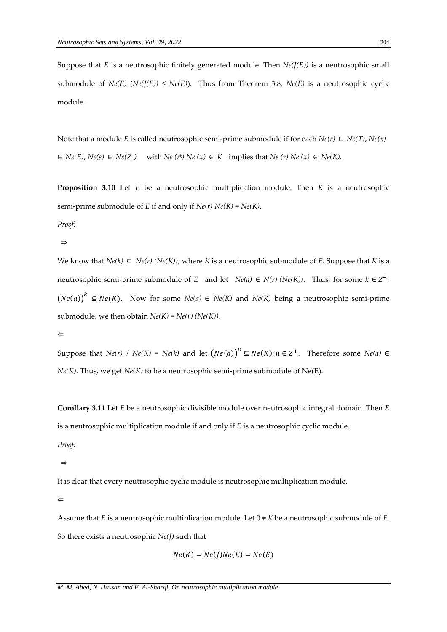Suppose that *E* is a neutrosophic finitely generated module. Then  $Ne(J(E))$  is a neutrosophic small submodule of  $Ne(E)$  ( $Ne(J(E)) \leq Ne(E)$ ). Thus from Theorem 3.8,  $Ne(E)$  is a neutrosophic cyclic module.

Note that a module *E* is called neutrosophic semi-prime submodule if for each  $Ne(r) \in Ne(T)$ ,  $Ne(x)$  $\in$  *Ne(E)*, *Ne(s)*  $\in$  *Ne(Z<sup>+</sup>)* with *Ne (r<sup>k</sup>) Ne (x)*  $\in$  *K* implies that *Ne (r) Ne (x)*  $\in$  *Ne(K)*.

**Proposition 3.10** Let *E* be a neutrosophic multiplication module. Then *K* is a neutrosophic semi-prime submodule of *E* if and only if *Ne(r) Ne(K)* = *Ne(K)*.

*Proof:*

⇒

We know that  $Ne(k) \subseteq Ne(r)$  ( $Ne(K)$ ), where K is a neutrosophic submodule of E. Suppose that K is a neutrosophic semi-prime submodule of *E* and let  $Ne(a) \in N(r)$  ( $Ne(K)$ ). Thus, for some  $k \in \mathbb{Z}^+$ ;  $(Ne(a))$ <sup>k</sup> ⊆ *Ne*(*K*). Now for some *Ne*(*a*) ∈ *Ne*(*K*) and *Ne*(*K*) being a neutrosophic semi-prime submodule, we then obtain  $Ne(K) = Ne(r)$  ( $Ne(K)$ ).

⇐

Suppose that *Ne(r)* / *Ne(K)* = *Ne(k)* and let  $(Ne(a))^n \subseteq Ne(K)$ ;  $n \in \mathbb{Z}^+$ . Therefore some *Ne(a)*  $\in$ *Ne(K)*. Thus, we get *Ne(K)* to be a neutrosophic semi-prime submodule of Ne(E).

**Corollary 3.11** Let *E* be a neutrosophic divisible module over neutrosophic integral domain. Then *E* is a neutrosophic multiplication module if and only if *E* is a neutrosophic cyclic module.

*Proof:*

⇒

It is clear that every neutrosophic cyclic module is neutrosophic multiplication module.

 $\leftarrow$ 

Assume that *E* is a neutrosophic multiplication module. Let  $0 \neq K$  be a neutrosophic submodule of *E*. So there exists a neutrosophic *Ne(J)* such that

$$
Ne(K) = Ne(J)Ne(E) = Ne(E)
$$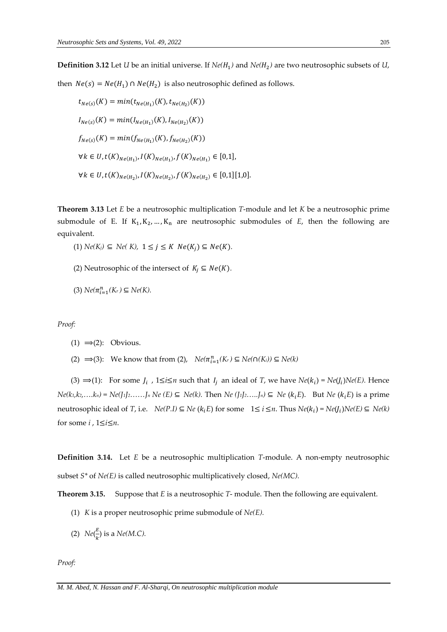**Definition 3.12** Let *U* be an initial universe. If  $Ne(H_1)$  and  $Ne(H_2)$  are two neutrosophic subsets of *U*, then  $Ne(s) = Ne(H_1) \cap Ne(H_2)$  is also neutrosophic defined as follows.

$$
t_{Ne(s)}(K) = min(t_{Ne(H_1)}(K), t_{Ne(H_2)}(K))
$$
  
\n
$$
I_{Ne(s)}(K) = min(I_{Ne(H_1)}(K), I_{Ne(H_2)}(K))
$$
  
\n
$$
f_{Ne(s)}(K) = min(f_{Ne(H_1)}(K), f_{Ne(H_2)}(K))
$$
  
\n
$$
\forall k \in U, t(K)_{Ne(H_1)}, I(K)_{Ne(H_1)}, f(K)_{Ne(H_1)} \in [0,1],
$$
  
\n
$$
\forall k \in U, t(K)_{Ne(H_2)}, I(K)_{Ne(H_2)}, f(K)_{Ne(H_2)} \in [0,1][1,0].
$$

**Theorem 3.13** Let *E* be a neutrosophic multiplication *T*-module and let *K* be a neutrosophic prime submodule of E. If  $K_1, K_2, ..., K_n$  are neutrosophic submodules of  $E$ , then the following are equivalent.

- $(1)$  *Ne*(*K<sub>i</sub>*) ⊆ *Ne*(*K*), 1 ≤ *j* ≤ *K Ne*(*K<sub>i</sub>*) ⊆ *Ne*(*K*).
- (2) Neutrosophic of the intersect of  $K_i \subseteq Ne(K)$ .
- $(3)$  *Ne*( $π_{i=1}^n(K_r)$  ⊆ *Ne*(*K*).

*Proof:*

- (1)  $\Rightarrow$  (2): Obvious.
- (2)  $\Rightarrow$  (3): We know that from (2),  $Ne(\pi_{i=1}^n(K_r) \subseteq Ne(\cap(K_i)) \subseteq Ne(k)$

(3) ⇒(1): For some  $J_i$ ,  $1 \le i \le n$  such that  $I_j$  an ideal of *T*, we have  $Ne(k_i) = Ne(J_i)Ne(E)$ . Hence  $Ne(k_1,k_2,...k_n) = Ne(J_1J_2,...,J_n Ne(E) \subseteq Ne(k)$ . Then  $Ne(J_1J_2,...,J_n) \subseteq Ne(k_iE)$ . But  $Ne(k_iE)$  is a prime  $\text{neutrosophic ideal of } T$ , i.e.  $\; N e(P.I) \subseteq N e(R_i E) \text{ for some } 1 \leq i \leq n. \text{ Thus } N e(R_i) = N e(I_i) N e(E) \subseteq N e(k)$ for some *i* , 1≤*i*≤*n*.

**Definition 3.14.** Let *E* be a neutrosophic multiplication *T*-module. A non-empty neutrosophic subset *S\** of *Ne(E)* is called neutrosophic multiplicatively closed, *Ne(MC).*

**Theorem 3.15.** Suppose that *E* is a neutrosophic *T*- module. Then the following are equivalent.

- (1) *K* is a proper neutrosophic prime submodule of *Ne(E).*
- (2)  $Ne(\frac{E}{k})$  $\frac{E}{k}$ ) is a *Ne*(*M.C*).

*Proof:*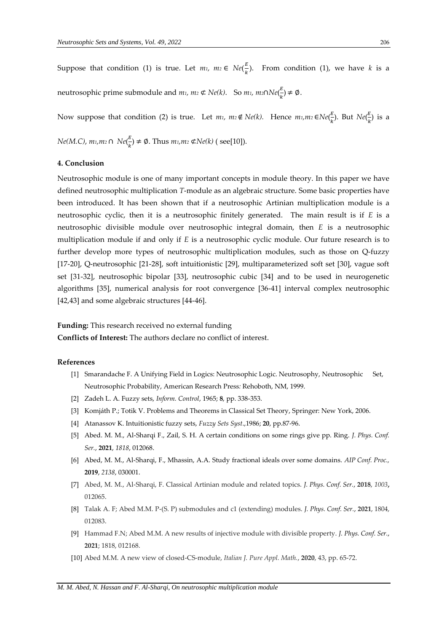Suppose that condition (1) is true. Let  $m_1$ ,  $m_2 \in Ne(\frac{E}{h})$  $\frac{2}{k}$ ). From condition (1), we have *k* is a neutrosophic prime submodule and *m*<sub>1</sub>*, m*<sub>2</sub> ⊄ *Ne*(*k*). So *m*<sub>1</sub>*, m*<sub>2</sub>∩*Ne*( $\frac{E}{b}$  $\frac{E}{k}$ )  $\neq \emptyset$ .

Now suppose that condition (2) is true. Let  $m_1$ ,  $m_2 \notin Ne(k)$ . Hence  $m_1$ , $m_2 \in Ne(\frac{k}{k})$  $\frac{E}{k}$ ). But  $Ne(\frac{E}{k})$  $\frac{2}{k}$ ) is a

*Ne(M.C)*, *m1,m<sup>2</sup>* ∩ *Ne*(  $\frac{\mu}{k}$   $\neq$   $\emptyset$ . Thus  $m_1, m_2 \notin Ne(k)$  (see[10]).

# **4. Conclusion**

Neutrosophic module is one of many important concepts in module theory. In this paper we have defined neutrosophic multiplication *T*-module as an algebraic structure. Some basic properties have been introduced. It has been shown that if a neutrosophic Artinian multiplication module is a neutrosophic cyclic, then it is a neutrosophic finitely generated. The main result is if *E* is a neutrosophic divisible module over neutrosophic integral domain, then *E* is a neutrosophic multiplication module if and only if *E* is a neutrosophic cyclic module. Our future research is to further develop more types of neutrosophic multiplication modules, such as those on Q-fuzzy [17-20], Q-neutrosophic [21-28], soft intuitionistic [29], multiparameterized soft set [30], vague soft set [31-32], neutrosophic bipolar [33], neutrosophic cubic [34] and to be used in neurogenetic algorithms [35], numerical analysis for root convergence [36-41] interval complex neutrosophic [42,43] and some algebraic structures [44-46].

**Funding:** This research received no external funding

**Conflicts of Interest:** The authors declare no conflict of interest.

#### **References**

- [1] Smarandache F. A Unifying Field in Logics: Neutrosophic Logic. Neutrosophy, Neutrosophic Set, Neutrosophic Probability, American Research Press*:* Rehoboth, NM, 1999.
- [2] Zadeh L. A. Fuzzy sets, *Inform. Control*, 1965; **8**, pp. 338-353.
- [3] Komjáth P.; Totik V. Problems and Theorems in Classical Set Theory, Springer: New York, 2006.
- [4] Atanassov K. Intuitionistic fuzzy sets, *Fuzzy Sets Syst*.,1986; **20**, pp.87-96.
- [5] Abed. M. M., Al-Sharqi F., Zail, S. H. A certain conditions on some rings give pp. Ring. *J. Phys. Conf. Ser.*, **2021**, *1818*, 012068.
- [6] Abed, M. M., Al-Sharqi, F., Mhassin, A.A. Study fractional ideals over some domains. *AIP Conf. Proc.,* **2019**, *2138*, 030001.
- [7] Abed, M. M., Al-Sharqi, F. Classical Artinian module and related topics. *J. Phys. Conf. Ser.*, **2018**, *1003***,** 012065.
- [8] Talak A. F; Abed M.M. P-(S. P) submodules and c1 (extending) modules. *J. Phys. Conf. Ser.*, **2021**, 1804, 012083.
- [9] Hammad F.N; Abed M.M. A new results of injective module with divisible property. *J. Phys. Conf. Ser.*, **2021**; 1818, 012168.
- [10] Abed M.M. A new view of closed-CS-module, *Italian J. Pure Appl. Math.*, **2020**, 43, pp. 65-72.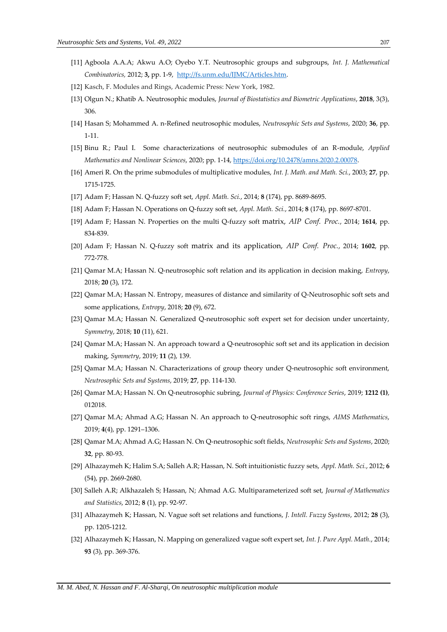- [11] Agboola A.A.A; Akwu A.O; Oyebo Y.T. Neutrosophic groups and subgroups, *Int. J. Mathematical Combinatorics,* 2012; **3,** pp. 1-9[,](http://fs.unm.edu/IJMC/Articles.htm) [http://fs.unm.edu/IJMC/Articles.htm.](http://fs.unm.edu/IJMC/Articles.htm)
- [12] Kasch, F. Modules and Rings, Academic Press: New York, 1982.
- [13] Olgun N.; Khatib A. Neutrosophic modules, *Journal of Biostatistics and Biometric Applications*, **2018**, 3(3), 306.
- [14] Hasan S; Mohammed A. n-Refined neutrosophic modules, *Neutrosophic Sets and Systems*, 2020; **36**, pp. 1-11.
- [15] Binu R.; Paul I. Some characterizations of neutrosophic submodules of an R-module, *Applied Mathematics and Nonlinear Sciences*, 2020; pp. 1-14[, https://doi.org/10.2478/amns.2020.2.00078.](https://doi.org/10.2478/amns.2020.2.00078)
- [16] Ameri R. On the prime submodules of multiplicative modules, *Int. J. Math. and Math. Sci.*, 2003; **27**, pp. 1715-1725.
- [17] Adam F; Hassan N. Q-fuzzy soft set, *Appl. Math. Sci.*, 2014; **8** (174), pp. 8689-8695.
- [18] Adam F; Hassan N. Operations on Q-fuzzy soft set, *Appl. Math. Sci.*, 2014; **8** (174), pp. 8697-8701.
- [19] Adam F; Hassan N. Properties on the multi Q-fuzzy soft matrix, *AIP Conf. Proc.*, 2014; **1614**, pp. 834-839.
- [20] Adam F; Hassan N. Q-fuzzy soft matrix and its application, *AIP Conf. Proc.*, 2014; **1602**, pp. 772-778.
- [21] Qamar M.A; Hassan N. Q-neutrosophic soft relation and its application in decision making, *Entropy*, 2018; **20** (3), 172.
- [22] Qamar M.A; Hassan N. Entropy, measures of distance and similarity of Q-Neutrosophic soft sets and some applications, *Entropy*, 2018; **20** (9), 672.
- [23] Qamar M.A; Hassan N. Generalized Q-neutrosophic soft expert set for decision under uncertainty, *Symmetry*, 2018; **10** (11), 621.
- [24] Qamar M.A; Hassan N. An approach toward a Q-neutrosophic soft set and its application in decision making, *Symmetry*, 2019; **11** (2), 139.
- [25] Qamar M.A; Hassan N. Characterizations of group theory under Q-neutrosophic soft environment, *Neutrosophic Sets and Systems*, 2019; **27**, pp. 114-130.
- [26] Qamar M.A; Hassan N. On Q-neutrosophic subring, *Journal of Physics: Conference Series*, 2019; **1212 (1)**, 012018.
- [27] Qamar M.A; Ahmad A.G; Hassan N. An approach to Q-neutrosophic soft rings, *AIMS Mathematics*, 2019; **4**(4), pp. 1291–1306.
- [28] Qamar M.A; Ahmad A.G; Hassan N. On Q-neutrosophic soft fields, *Neutrosophic Sets and Systems*, 2020; **32**, pp. 80-93.
- [29] Alhazaymeh K; Halim S.A; Salleh A.R; Hassan, N. Soft intuitionistic fuzzy sets, *Appl. Math. Sci.*, 2012; **6** (54), pp. 2669-2680.
- [30] Salleh A.R; Alkhazaleh S; Hassan, N; Ahmad A.G. Multiparameterized soft set, *Journal of Mathematics and Statistics*, 2012; **8** (1), pp. 92-97.
- [31] Alhazaymeh K; Hassan, N. Vague soft set relations and functions, *J. Intell. Fuzzy Systems*, 2012; **28** (3), pp. 1205-1212.
- [32] Alhazaymeh K; Hassan, N. Mapping on generalized vague soft expert set, *Int. J. Pure Appl. Math.*, 2014; **93** (3), pp. 369-376.